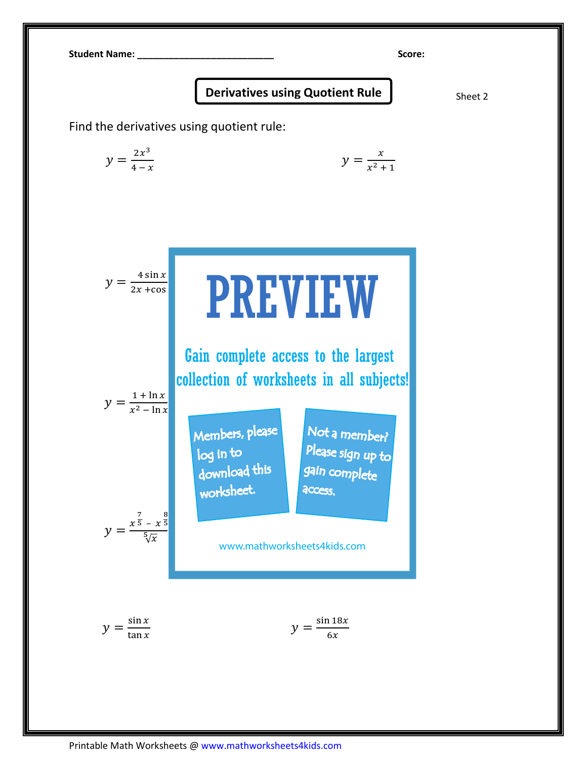

## Derivatives using Quotient Rule  $\int$  Sheet 2

Find the derivatives using quotient rule:

$$
y = \frac{2x^3}{4-x}
$$
 
$$
y = \frac{x}{x^2+1}
$$